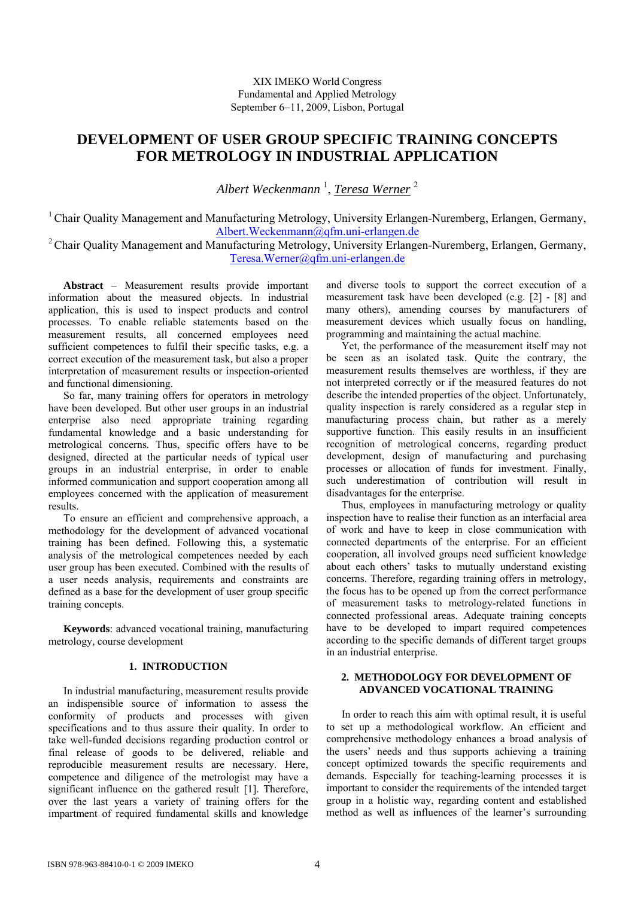# XIX IMEKO World Congress Fundamental and Applied Metrology September 6−11, 2009, Lisbon, Portugal

# **DEVELOPMENT OF USER GROUP SPECIFIC TRAINING CONCEPTS FOR METROLOGY IN INDUSTRIAL APPLICATION**

*Albert Weckenmann* <sup>1</sup> , *Teresa Werner* <sup>2</sup>

<sup>1</sup> Chair Quality Management and Manufacturing Metrology, University Erlangen-Nuremberg, Erlangen, Germany, [Albert.Weckenmann@qfm.uni-erlangen.de](mailto:Albert.Weckenmann@qfm.uni-erlangen.de)

<sup>2</sup> Chair Quality Management and Manufacturing Metrology, University Erlangen-Nuremberg, Erlangen, Germany, [Teresa.Werner@qfm.uni-erlangen.de](mailto:Teresa.Werner@qfm.uni-erlangen.de)

**Abstract** − Measurement results provide important information about the measured objects. In industrial application, this is used to inspect products and control processes. To enable reliable statements based on the measurement results, all concerned employees need sufficient competences to fulfil their specific tasks, e.g. a correct execution of the measurement task, but also a proper interpretation of measurement results or inspection-oriented and functional dimensioning.

So far, many training offers for operators in metrology have been developed. But other user groups in an industrial enterprise also need appropriate training regarding fundamental knowledge and a basic understanding for metrological concerns. Thus, specific offers have to be designed, directed at the particular needs of typical user groups in an industrial enterprise, in order to enable informed communication and support cooperation among all employees concerned with the application of measurement results.

To ensure an efficient and comprehensive approach, a methodology for the development of advanced vocational training has been defined. Following this, a systematic analysis of the metrological competences needed by each user group has been executed. Combined with the results of a user needs analysis, requirements and constraints are defined as a base for the development of user group specific training concepts.

**Keywords**: advanced vocational training, manufacturing metrology, course development

# **1. INTRODUCTION**

In industrial manufacturing, measurement results provide an indispensible source of information to assess the conformity of products and processes with given specifications and to thus assure their quality. In order to take well-funded decisions regarding production control or final release of goods to be delivered, reliable and reproducible measurement results are necessary. Here, competence and diligence of the metrologist may have a significant influence on the gathered result [1]. Therefore, over the last years a variety of training offers for the impartment of required fundamental skills and knowledge

and diverse tools to support the correct execution of a measurement task have been developed (e.g. [2] - [8] and many others), amending courses by manufacturers of measurement devices which usually focus on handling, programming and maintaining the actual machine.

Yet, the performance of the measurement itself may not be seen as an isolated task. Quite the contrary, the measurement results themselves are worthless, if they are not interpreted correctly or if the measured features do not describe the intended properties of the object. Unfortunately, quality inspection is rarely considered as a regular step in manufacturing process chain, but rather as a merely supportive function. This easily results in an insufficient recognition of metrological concerns, regarding product development, design of manufacturing and purchasing processes or allocation of funds for investment. Finally, such underestimation of contribution will result in disadvantages for the enterprise.

Thus, employees in manufacturing metrology or quality inspection have to realise their function as an interfacial area of work and have to keep in close communication with connected departments of the enterprise. For an efficient cooperation, all involved groups need sufficient knowledge about each others' tasks to mutually understand existing concerns. Therefore, regarding training offers in metrology, the focus has to be opened up from the correct performance of measurement tasks to metrology-related functions in connected professional areas. Adequate training concepts have to be developed to impart required competences according to the specific demands of different target groups in an industrial enterprise.

# **2. METHODOLOGY FOR DEVELOPMENT OF ADVANCED VOCATIONAL TRAINING**

In order to reach this aim with optimal result, it is useful to set up a methodological workflow. An efficient and comprehensive methodology enhances a broad analysis of the users' needs and thus supports achieving a training concept optimized towards the specific requirements and demands. Especially for teaching-learning processes it is important to consider the requirements of the intended target group in a holistic way, regarding content and established method as well as influences of the learner's surrounding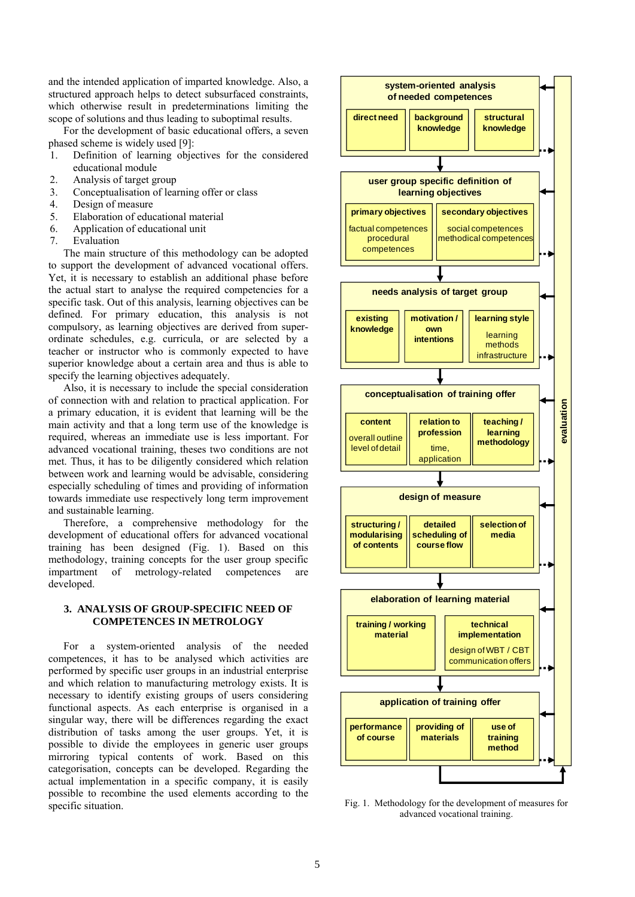and the intended application of imparted knowledge. Also, a structured approach helps to detect subsurfaced constraints, which otherwise result in predeterminations limiting the scope of solutions and thus leading to suboptimal results.

For the development of basic educational offers, a seven phased scheme is widely used [9]:

- 1. Definition of learning objectives for the considered educational module
- 2. Analysis of target group
- 3. Conceptualisation of learning offer or class
- 4. Design of measure
- 5. Elaboration of educational material
- 6. Application of educational unit
- 7. Evaluation

The main structure of this methodology can be adopted to support the development of advanced vocational offers. Yet, it is necessary to establish an additional phase before the actual start to analyse the required competencies for a specific task. Out of this analysis, learning objectives can be defined. For primary education, this analysis is not compulsory, as learning objectives are derived from superordinate schedules, e.g. curricula, or are selected by a teacher or instructor who is commonly expected to have superior knowledge about a certain area and thus is able to specify the learning objectives adequately.

Also, it is necessary to include the special consideration of connection with and relation to practical application. For a primary education, it is evident that learning will be the main activity and that a long term use of the knowledge is required, whereas an immediate use is less important. For advanced vocational training, theses two conditions are not met. Thus, it has to be diligently considered which relation between work and learning would be advisable, considering especially scheduling of times and providing of information towards immediate use respectively long term improvement and sustainable learning.

Therefore, a comprehensive methodology for the development of educational offers for advanced vocational training has been designed (Fig. 1). Based on this methodology, training concepts for the user group specific impartment of metrology-related competences are developed.

## **3. ANALYSIS OF GROUP-SPECIFIC NEED OF COMPETENCES IN METROLOGY**

For a system-oriented analysis of the needed competences, it has to be analysed which activities are performed by specific user groups in an industrial enterprise and which relation to manufacturing metrology exists. It is necessary to identify existing groups of users considering functional aspects. As each enterprise is organised in a singular way, there will be differences regarding the exact distribution of tasks among the user groups. Yet, it is possible to divide the employees in generic user groups mirroring typical contents of work. Based on this categorisation, concepts can be developed. Regarding the actual implementation in a specific company, it is easily possible to recombine the used elements according to the specific situation.



Fig. 1. Methodology for the development of measures for advanced vocational training.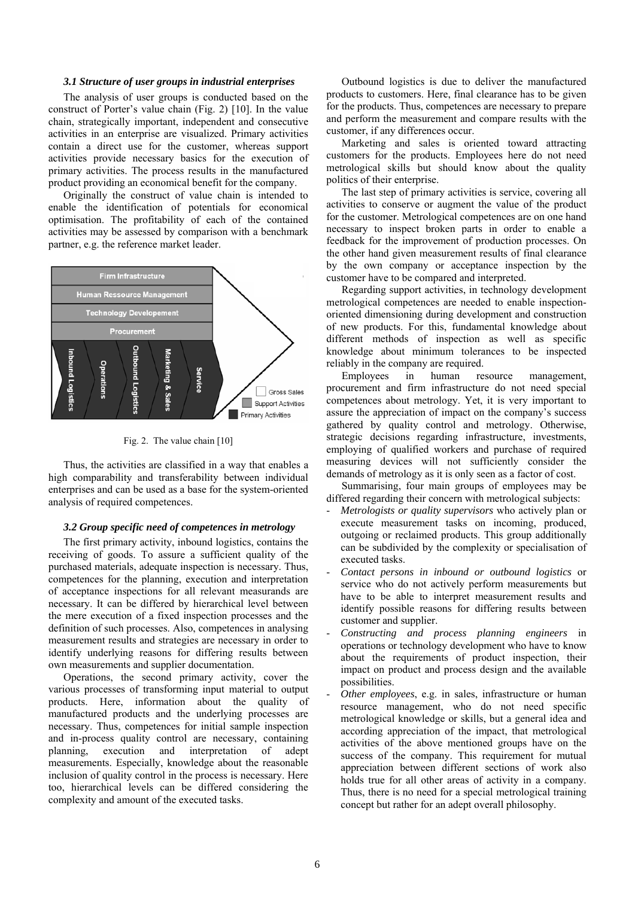#### *3.1 Structure of user groups in industrial enterprises*

The analysis of user groups is conducted based on the construct of Porter's value chain (Fig. 2) [10]. In the value chain, strategically important, independent and consecutive activities in an enterprise are visualized. Primary activities contain a direct use for the customer, whereas support activities provide necessary basics for the execution of primary activities. The process results in the manufactured product providing an economical benefit for the company.

Originally the construct of value chain is intended to enable the identification of potentials for economical optimisation. The profitability of each of the contained activities may be assessed by comparison with a benchmark partner, e.g. the reference market leader.



Fig. 2. The value chain [10]

Thus, the activities are classified in a way that enables a high comparability and transferability between individual enterprises and can be used as a base for the system-oriented analysis of required competences.

#### *3.2 Group specific need of competences in metrology*

The first primary activity, inbound logistics, contains the receiving of goods. To assure a sufficient quality of the purchased materials, adequate inspection is necessary. Thus, competences for the planning, execution and interpretation of acceptance inspections for all relevant measurands are necessary. It can be differed by hierarchical level between the mere execution of a fixed inspection processes and the definition of such processes. Also, competences in analysing measurement results and strategies are necessary in order to identify underlying reasons for differing results between own measurements and supplier documentation.

Operations, the second primary activity, cover the various processes of transforming input material to output products. Here, information about the quality of manufactured products and the underlying processes are necessary. Thus, competences for initial sample inspection and in-process quality control are necessary, containing planning, execution and interpretation of adept measurements. Especially, knowledge about the reasonable inclusion of quality control in the process is necessary. Here too, hierarchical levels can be differed considering the complexity and amount of the executed tasks.

Outbound logistics is due to deliver the manufactured products to customers. Here, final clearance has to be given for the products. Thus, competences are necessary to prepare and perform the measurement and compare results with the customer, if any differences occur.

Marketing and sales is oriented toward attracting customers for the products. Employees here do not need metrological skills but should know about the quality politics of their enterprise.

The last step of primary activities is service, covering all activities to conserve or augment the value of the product for the customer. Metrological competences are on one hand necessary to inspect broken parts in order to enable a feedback for the improvement of production processes. On the other hand given measurement results of final clearance by the own company or acceptance inspection by the customer have to be compared and interpreted.

Regarding support activities, in technology development metrological competences are needed to enable inspectionoriented dimensioning during development and construction of new products. For this, fundamental knowledge about different methods of inspection as well as specific knowledge about minimum tolerances to be inspected reliably in the company are required.

Employees in human resource management, procurement and firm infrastructure do not need special competences about metrology. Yet, it is very important to assure the appreciation of impact on the company's success gathered by quality control and metrology. Otherwise, strategic decisions regarding infrastructure, investments, employing of qualified workers and purchase of required measuring devices will not sufficiently consider the demands of metrology as it is only seen as a factor of cost.

Summarising, four main groups of employees may be differed regarding their concern with metrological subjects:

- *Metrologists or quality supervisors* who actively plan or execute measurement tasks on incoming, produced, outgoing or reclaimed products. This group additionally can be subdivided by the complexity or specialisation of executed tasks.
- *Contact persons in inbound or outbound logistics* or service who do not actively perform measurements but have to be able to interpret measurement results and identify possible reasons for differing results between customer and supplier.
- *Constructing and process planning engineers* in operations or technology development who have to know about the requirements of product inspection, their impact on product and process design and the available possibilities.
- *Other employees*, e.g. in sales, infrastructure or human resource management, who do not need specific metrological knowledge or skills, but a general idea and according appreciation of the impact, that metrological activities of the above mentioned groups have on the success of the company. This requirement for mutual appreciation between different sections of work also holds true for all other areas of activity in a company. Thus, there is no need for a special metrological training concept but rather for an adept overall philosophy.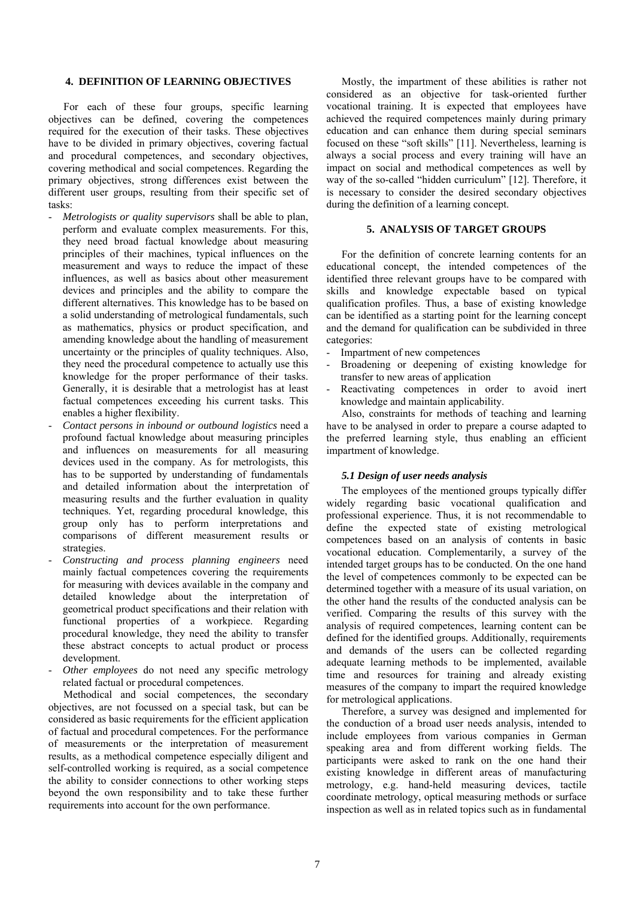## **4. DEFINITION OF LEARNING OBJECTIVES**

For each of these four groups, specific learning objectives can be defined, covering the competences required for the execution of their tasks. These objectives have to be divided in primary objectives, covering factual and procedural competences, and secondary objectives, covering methodical and social competences. Regarding the primary objectives, strong differences exist between the different user groups, resulting from their specific set of tasks:

- *Metrologists or quality supervisors* shall be able to plan, perform and evaluate complex measurements. For this, they need broad factual knowledge about measuring principles of their machines, typical influences on the measurement and ways to reduce the impact of these influences, as well as basics about other measurement devices and principles and the ability to compare the different alternatives. This knowledge has to be based on a solid understanding of metrological fundamentals, such as mathematics, physics or product specification, and amending knowledge about the handling of measurement uncertainty or the principles of quality techniques. Also, they need the procedural competence to actually use this knowledge for the proper performance of their tasks. Generally, it is desirable that a metrologist has at least factual competences exceeding his current tasks. This enables a higher flexibility.
- *Contact persons in inbound or outbound logistics* need a profound factual knowledge about measuring principles and influences on measurements for all measuring devices used in the company. As for metrologists, this has to be supported by understanding of fundamentals and detailed information about the interpretation of measuring results and the further evaluation in quality techniques. Yet, regarding procedural knowledge, this group only has to perform interpretations and comparisons of different measurement results or strategies.
- *Constructing and process planning engineers* need mainly factual competences covering the requirements for measuring with devices available in the company and detailed knowledge about the interpretation of geometrical product specifications and their relation with functional properties of a workpiece. Regarding procedural knowledge, they need the ability to transfer these abstract concepts to actual product or process development.
- *Other employees* do not need any specific metrology related factual or procedural competences.

Methodical and social competences, the secondary objectives, are not focussed on a special task, but can be considered as basic requirements for the efficient application of factual and procedural competences. For the performance of measurements or the interpretation of measurement results, as a methodical competence especially diligent and self-controlled working is required, as a social competence the ability to consider connections to other working steps beyond the own responsibility and to take these further requirements into account for the own performance.

Mostly, the impartment of these abilities is rather not considered as an objective for task-oriented further vocational training. It is expected that employees have achieved the required competences mainly during primary education and can enhance them during special seminars focused on these "soft skills" [11]. Nevertheless, learning is always a social process and every training will have an impact on social and methodical competences as well by way of the so-called "hidden curriculum" [12]. Therefore, it is necessary to consider the desired secondary objectives during the definition of a learning concept.

# **5. ANALYSIS OF TARGET GROUPS**

For the definition of concrete learning contents for an educational concept, the intended competences of the identified three relevant groups have to be compared with skills and knowledge expectable based on typical qualification profiles. Thus, a base of existing knowledge can be identified as a starting point for the learning concept and the demand for qualification can be subdivided in three categories:

- Impartment of new competences
- Broadening or deepening of existing knowledge for transfer to new areas of application
- Reactivating competences in order to avoid inert knowledge and maintain applicability.

Also, constraints for methods of teaching and learning have to be analysed in order to prepare a course adapted to the preferred learning style, thus enabling an efficient impartment of knowledge.

# *5.1 Design of user needs analysis*

The employees of the mentioned groups typically differ widely regarding basic vocational qualification and professional experience. Thus, it is not recommendable to define the expected state of existing metrological competences based on an analysis of contents in basic vocational education. Complementarily, a survey of the intended target groups has to be conducted. On the one hand the level of competences commonly to be expected can be determined together with a measure of its usual variation, on the other hand the results of the conducted analysis can be verified. Comparing the results of this survey with the analysis of required competences, learning content can be defined for the identified groups. Additionally, requirements and demands of the users can be collected regarding adequate learning methods to be implemented, available time and resources for training and already existing measures of the company to impart the required knowledge for metrological applications.

Therefore, a survey was designed and implemented for the conduction of a broad user needs analysis, intended to include employees from various companies in German speaking area and from different working fields. The participants were asked to rank on the one hand their existing knowledge in different areas of manufacturing metrology, e.g. hand-held measuring devices, tactile coordinate metrology, optical measuring methods or surface inspection as well as in related topics such as in fundamental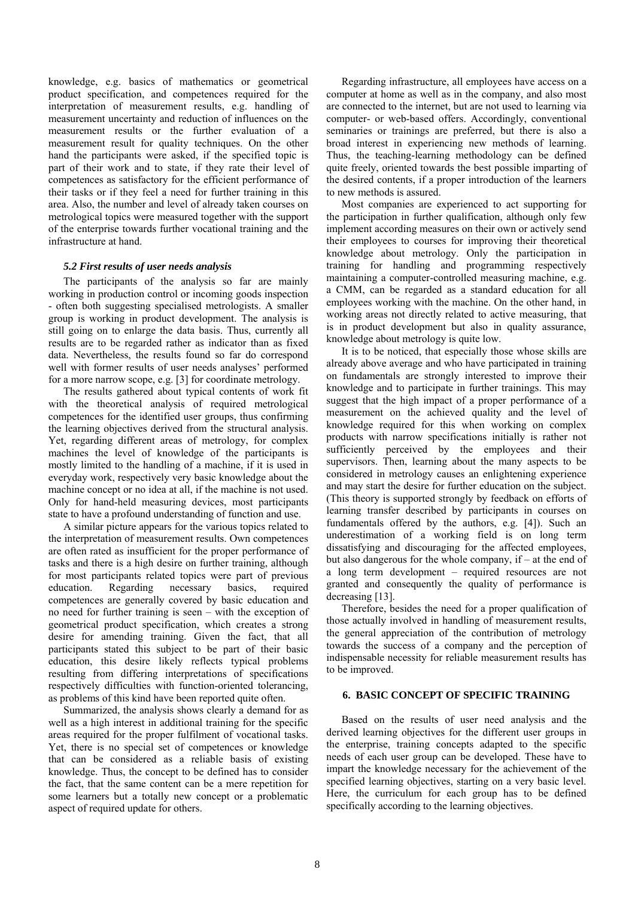knowledge, e.g. basics of mathematics or geometrical product specification, and competences required for the interpretation of measurement results, e.g. handling of measurement uncertainty and reduction of influences on the measurement results or the further evaluation of a measurement result for quality techniques. On the other hand the participants were asked, if the specified topic is part of their work and to state, if they rate their level of competences as satisfactory for the efficient performance of their tasks or if they feel a need for further training in this area. Also, the number and level of already taken courses on metrological topics were measured together with the support of the enterprise towards further vocational training and the infrastructure at hand.

## *5.2 First results of user needs analysis*

The participants of the analysis so far are mainly working in production control or incoming goods inspection - often both suggesting specialised metrologists. A smaller group is working in product development. The analysis is still going on to enlarge the data basis. Thus, currently all results are to be regarded rather as indicator than as fixed data. Nevertheless, the results found so far do correspond well with former results of user needs analyses' performed for a more narrow scope, e.g. [3] for coordinate metrology.

The results gathered about typical contents of work fit with the theoretical analysis of required metrological competences for the identified user groups, thus confirming the learning objectives derived from the structural analysis. Yet, regarding different areas of metrology, for complex machines the level of knowledge of the participants is mostly limited to the handling of a machine, if it is used in everyday work, respectively very basic knowledge about the machine concept or no idea at all, if the machine is not used. Only for hand-held measuring devices, most participants state to have a profound understanding of function and use.

A similar picture appears for the various topics related to the interpretation of measurement results. Own competences are often rated as insufficient for the proper performance of tasks and there is a high desire on further training, although for most participants related topics were part of previous education. Regarding necessary basics, required competences are generally covered by basic education and no need for further training is seen – with the exception of geometrical product specification, which creates a strong desire for amending training. Given the fact, that all participants stated this subject to be part of their basic education, this desire likely reflects typical problems resulting from differing interpretations of specifications respectively difficulties with function-oriented tolerancing, as problems of this kind have been reported quite often.

Summarized, the analysis shows clearly a demand for as well as a high interest in additional training for the specific areas required for the proper fulfilment of vocational tasks. Yet, there is no special set of competences or knowledge that can be considered as a reliable basis of existing knowledge. Thus, the concept to be defined has to consider the fact, that the same content can be a mere repetition for some learners but a totally new concept or a problematic aspect of required update for others.

Regarding infrastructure, all employees have access on a computer at home as well as in the company, and also most are connected to the internet, but are not used to learning via computer- or web-based offers. Accordingly, conventional seminaries or trainings are preferred, but there is also a broad interest in experiencing new methods of learning. Thus, the teaching-learning methodology can be defined quite freely, oriented towards the best possible imparting of the desired contents, if a proper introduction of the learners to new methods is assured.

Most companies are experienced to act supporting for the participation in further qualification, although only few implement according measures on their own or actively send their employees to courses for improving their theoretical knowledge about metrology. Only the participation in training for handling and programming respectively maintaining a computer-controlled measuring machine, e.g. a CMM, can be regarded as a standard education for all employees working with the machine. On the other hand, in working areas not directly related to active measuring, that is in product development but also in quality assurance, knowledge about metrology is quite low.

It is to be noticed, that especially those whose skills are already above average and who have participated in training on fundamentals are strongly interested to improve their knowledge and to participate in further trainings. This may suggest that the high impact of a proper performance of a measurement on the achieved quality and the level of knowledge required for this when working on complex products with narrow specifications initially is rather not sufficiently perceived by the employees and their supervisors. Then, learning about the many aspects to be considered in metrology causes an enlightening experience and may start the desire for further education on the subject. (This theory is supported strongly by feedback on efforts of learning transfer described by participants in courses on fundamentals offered by the authors, e.g. [4]). Such an underestimation of a working field is on long term dissatisfying and discouraging for the affected employees, but also dangerous for the whole company, if – at the end of a long term development – required resources are not granted and consequently the quality of performance is decreasing [13].

Therefore, besides the need for a proper qualification of those actually involved in handling of measurement results, the general appreciation of the contribution of metrology towards the success of a company and the perception of indispensable necessity for reliable measurement results has to be improved.

## **6. BASIC CONCEPT OF SPECIFIC TRAINING**

Based on the results of user need analysis and the derived learning objectives for the different user groups in the enterprise, training concepts adapted to the specific needs of each user group can be developed. These have to impart the knowledge necessary for the achievement of the specified learning objectives, starting on a very basic level. Here, the curriculum for each group has to be defined specifically according to the learning objectives.